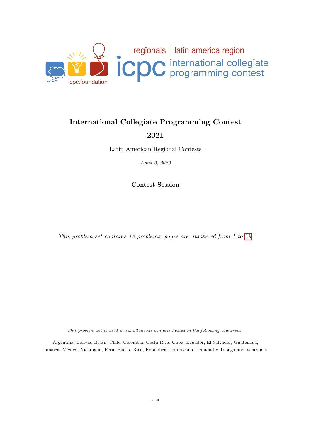

### International Collegiate Programming Contest

2021

Latin American Regional Contests

April 2, 2022

Contest Session

This problem set contains 13 problems; pages are numbered from 1 to [29.](#page-28-0)

This problem set is used in simultaneous contests hosted in the following countries:

Argentina, Bolivia, Brasil, Chile, Colombia, Costa Rica, Cuba, Ecuador, El Salvador, Guatemala, Jamaica, México, Nicaragua, Perú, Puerto Rico, República Dominicana, Trinidad y Tobago and Venezuela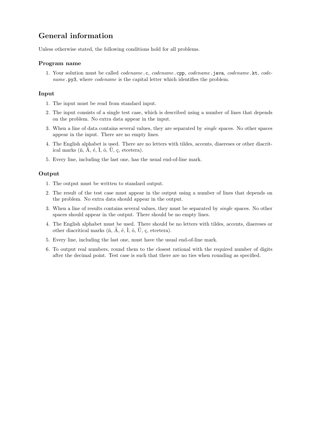## General information

Unless otherwise stated, the following conditions hold for all problems.

#### Program name

1. Your solution must be called codename.c, codename.cpp, codename.java, codename.kt, codename.py3, where *codename* is the capital letter which identifies the problem.

#### Input

- 1. The input must be read from standard input.
- 2. The input consists of a single test case, which is described using a number of lines that depends on the problem. No extra data appear in the input.
- 3. When a line of data contains several values, they are separated by single spaces. No other spaces appear in the input. There are no empty lines.
- 4. The English alphabet is used. There are no letters with tildes, accents, diaereses or other diacritical marks  $(\tilde{n}, \tilde{A}, \dot{\epsilon}, \dot{I}, \dot{\delta}, \ddot{U}, \dot{\varsigma}, \text{etcetera}).$
- 5. Every line, including the last one, has the usual end-of-line mark.

#### Output

- 1. The output must be written to standard output.
- 2. The result of the test case must appear in the output using a number of lines that depends on the problem. No extra data should appear in the output.
- 3. When a line of results contains several values, they must be separated by single spaces. No other spaces should appear in the output. There should be no empty lines.
- 4. The English alphabet must be used. There should be no letters with tildes, accents, diaereses or other diacritical marks  $(\tilde{n}, \tilde{A}, \dot{\epsilon}, \dot{\mathbf{l}}, \dot{\mathbf{o}}, \ddot{\mathbf{U}}, \dot{\mathbf{c}}, \text{etcetera}).$
- 5. Every line, including the last one, must have the usual end-of-line mark.
- 6. To output real numbers, round them to the closest rational with the required number of digits after the decimal point. Test case is such that there are no ties when rounding as specified.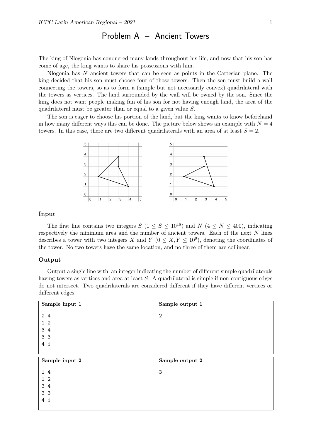### Problem A – Ancient Towers

The king of Nlogonia has conquered many lands throughout his life, and now that his son has come of age, the king wants to share his possessions with him.

Nlogonia has N ancient towers that can be seen as points in the Cartesian plane. The king decided that his son must choose four of those towers. Then the son must build a wall connecting the towers, so as to form a (simple but not necessarily convex) quadrilateral with the towers as vertices. The land surrounded by the wall will be owned by the son. Since the king does not want people making fun of his son for not having enough land, the area of the quadrilateral must be greater than or equal to a given value S.

The son is eager to choose his portion of the land, but the king wants to know beforehand in how many different ways this can be done. The picture below shows an example with  $N = 4$ towers. In this case, there are two different quadrilaterals with an area of at least  $S = 2$ .



#### Input

The first line contains two integers  $S (1 \le S \le 10^{18})$  and  $N (4 \le N \le 400)$ , indicating respectively the minimum area and the number of ancient towers. Each of the next  $N$  lines describes a tower with two integers X and Y  $(0 \le X, Y \le 10^9)$ , denoting the coordinates of the tower. No two towers have the same location, and no three of them are collinear.

#### Output

Output a single line with an integer indicating the number of different simple quadrilaterals having towers as vertices and area at least S. A quadrilateral is simple if non-contiguous edges do not intersect. Two quadrilaterals are considered different if they have different vertices or different edges.

| Sample input 1 | Sample output 1 |
|----------------|-----------------|
| 2 4            | $\overline{2}$  |
| $1\quad2$      |                 |
| 3 4            |                 |
| 3 <sub>3</sub> |                 |
| 4 <sub>1</sub> |                 |
|                |                 |
|                |                 |
| Sample input 2 | Sample output 2 |
| 14             | 3               |
| $1\quad2$      |                 |
| 3 4            |                 |
| 3 <sub>3</sub> |                 |
| 4 1            |                 |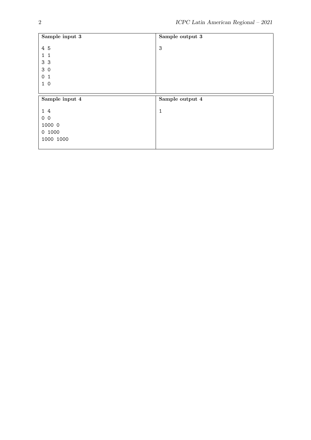| Sample input 3    | Sample output 3 |
|-------------------|-----------------|
| 4 5               | 3               |
|                   |                 |
| $\mathbf{1}$<br>1 |                 |
| 3 <sub>3</sub>    |                 |
| 30                |                 |
| 0<br>$\mathbf{1}$ |                 |
| 10                |                 |
|                   |                 |
|                   |                 |
| Sample input 4    | Sample output 4 |
|                   |                 |
| 14                | 1               |
| 0 <sub>0</sub>    |                 |
| 1000 0            |                 |
| 0 1000            |                 |
| 1000 1000         |                 |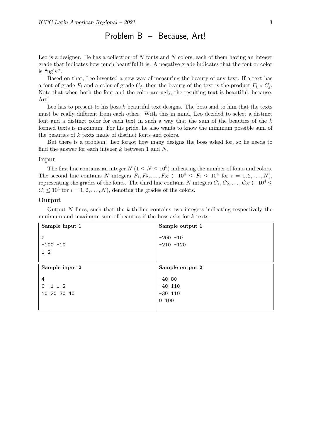### Problem B – Because, Art!

Leo is a designer. He has a collection of  $N$  fonts and  $N$  colors, each of them having an integer grade that indicates how much beautiful it is. A negative grade indicates that the font or color is "ugly".

Based on that, Leo invented a new way of measuring the beauty of any text. If a text has a font of grade  $F_i$  and a color of grade  $C_j$ , then the beauty of the text is the product  $F_i \times C_j$ . Note that when both the font and the color are ugly, the resulting text is beautiful, because, Art!

Leo has to present to his boss  $k$  beautiful text designs. The boss said to him that the texts must be really different from each other. With this in mind, Leo decided to select a distinct font and a distinct color for each text in such a way that the sum of the beauties of the  $k$ formed texts is maximum. For his pride, he also wants to know the minimum possible sum of the beauties of k texts made of distinct fonts and colors.

But there is a problem! Leo forgot how many designs the boss asked for, so he needs to find the answer for each integer  $k$  between 1 and  $N$ .

#### Input

The first line contains an integer  $N (1 \le N \le 10^5)$  indicating the number of fonts and colors. The second line contains N integers  $F_1, F_2, \ldots, F_N$   $(-10^4 \le F_i \le 10^4$  for  $i = 1, 2, \ldots, N$ , representing the grades of the fonts. The third line contains N integers  $C_1, C_2, \ldots, C_N$  (−10<sup>4</sup> ≤  $C_i \leq 10^4$  for  $i = 1, 2, ..., N$ , denoting the grades of the colors.

#### Output

Output  $N$  lines, such that the  $k$ -th line contains two integers indicating respectively the minimum and maximum sum of beauties if the boss asks for k texts.

| Sample input 1                  | Sample output 1                             |
|---------------------------------|---------------------------------------------|
| 2<br>$-100 - 10$<br>$1\quad2$   | $-200 - 10$<br>$-210 - 120$                 |
| Sample input 2                  | Sample output 2                             |
| 4<br>$0 - 1 1 2$<br>10 20 30 40 | $-40.80$<br>$-40$ 110<br>$-30$ 110<br>0 100 |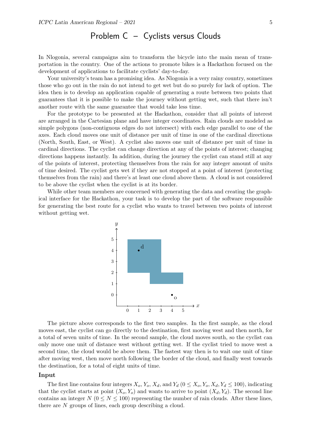# Problem C – Cyclists versus Clouds

In Nlogonia, several campaigns aim to transform the bicycle into the main mean of transportation in the country. One of the actions to promote bikes is a Hackathon focused on the development of applications to facilitate cyclists' day-to-day.

Your university's team has a promising idea. As Nlogonia is a very rainy country, sometimes those who go out in the rain do not intend to get wet but do so purely for lack of option. The idea then is to develop an application capable of generating a route between two points that guarantees that it is possible to make the journey without getting wet, such that there isn't another route with the same guarantee that would take less time.

For the prototype to be presented at the Hackathon, consider that all points of interest are arranged in the Cartesian plane and have integer coordinates. Rain clouds are modeled as simple polygons (non-contiguous edges do not intersect) with each edge parallel to one of the axes. Each cloud moves one unit of distance per unit of time in one of the cardinal directions (North, South, East, or West). A cyclist also moves one unit of distance per unit of time in cardinal directions. The cyclist can change direction at any of the points of interest; changing directions happens instantly. In addition, during the journey the cyclist can stand still at any of the points of interest, protecting themselves from the rain for any integer amount of units of time desired. The cyclist gets wet if they are not stopped at a point of interest (protecting themselves from the rain) and there's at least one cloud above them. A cloud is not considered to be above the cyclist when the cyclist is at its border.

While other team members are concerned with generating the data and creating the graphical interface for the Hackathon, your task is to develop the part of the software responsible for generating the best route for a cyclist who wants to travel between two points of interest without getting wet.



The picture above corresponds to the first two samples. In the first sample, as the cloud moves east, the cyclist can go directly to the destination, first moving west and then north, for a total of seven units of time. In the second sample, the cloud moves south, so the cyclist can only move one unit of distance west without getting wet. If the cyclist tried to move west a second time, the cloud would be above them. The fastest way then is to wait one unit of time after moving west, then move north following the border of the cloud, and finally west towards the destination, for a total of eight units of time.

#### Input

The first line contains four integers  $X_o$ ,  $Y_o$ ,  $X_d$ , and  $Y_d$  ( $0 \le X_o$ ,  $Y_o$ ,  $X_d$ ,  $Y_d \le 100$ ), indicating that the cyclist starts at point  $(X_o, Y_o)$  and wants to arrive to point  $(X_d, Y_d)$ . The second line contains an integer  $N$  ( $0 \le N \le 100$ ) representing the number of rain clouds. After these lines, there are N groups of lines, each group describing a cloud.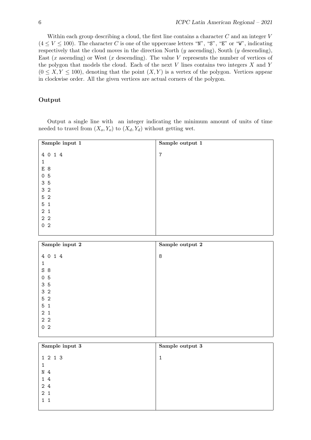Within each group describing a cloud, the first line contains a character C and an integer V  $(4 \le V \le 100)$ . The character C is one of the uppercase letters "N", "S", "E" or "W", indicating respectively that the cloud moves in the direction North  $(y$  ascending), South  $(y$  descending), East  $(x \text{ ascending})$  or West  $(x \text{ descending})$ . The value V represents the number of vertices of the polygon that models the cloud. Each of the next  $V$  lines contains two integers  $X$  and  $Y$  $(0 \le X, Y \le 100)$ , denoting that the point  $(X, Y)$  is a vertex of the polygon. Vertices appear in clockwise order. All the given vertices are actual corners of the polygon.

### Output

Output a single line with an integer indicating the minimum amount of units of time needed to travel from  $(X_o, Y_o)$  to  $(X_d, Y_d)$  without getting wet.

| Sample input 1 | Sample output 1 |
|----------------|-----------------|
| 4 0 1 4        | 7               |
| $\mathbf{1}$   |                 |
| E 8            |                 |
| 0 <sub>5</sub> |                 |
| 3 5            |                 |
| 3 <sub>2</sub> |                 |
| 5 <sub>2</sub> |                 |
| 5 <sub>1</sub> |                 |
| 2 <sub>1</sub> |                 |
| 2 <sub>2</sub> |                 |
| 0 <sub>2</sub> |                 |
|                |                 |

| Sample input 2 | Sample output 2 |
|----------------|-----------------|
| 4 0 1 4        | 8               |
| $\mathbf{1}$   |                 |
| S8             |                 |
| 0 <sub>5</sub> |                 |
| 35             |                 |
| 3 <sub>2</sub> |                 |
| 5 <sub>2</sub> |                 |
| 5 <sub>1</sub> |                 |
| 2 <sub>1</sub> |                 |
| 2 <sub>2</sub> |                 |
| 0 <sub>2</sub> |                 |
|                |                 |

| Sample input 3 | Sample output 3 |
|----------------|-----------------|
| 1 2 1 3        | 1               |
| 1              |                 |
| N <sub>4</sub> |                 |
| 14             |                 |
| 2 4            |                 |
| 2 <sub>1</sub> |                 |
| $1\quad1$      |                 |
|                |                 |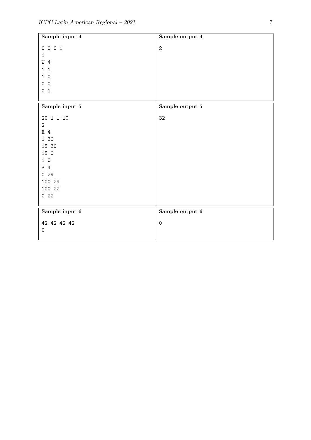| Sample input 4               | Sample output 4         |
|------------------------------|-------------------------|
| 0 0 0 1                      | $\sqrt{2}$              |
| $\mathbf{1}$                 |                         |
| W 4                          |                         |
| $\mathbf{1}$<br>$\mathbf{1}$ |                         |
| 10                           |                         |
| 0 <sub>0</sub>               |                         |
| 0 <sub>1</sub>               |                         |
|                              |                         |
| Sample input ${\bf 5}$       | Sample output ${\bf 5}$ |
| 20 1 1 10                    | 32                      |
| $\sqrt{2}$                   |                         |
| E 4                          |                         |
| 1 30                         |                         |
| 15 30                        |                         |
| 15 0                         |                         |
| $1\ 0$                       |                         |
| S <sub>4</sub>               |                         |
| 029                          |                         |
| 100 29                       |                         |
| 100 22                       |                         |
| 022                          |                         |
|                              |                         |
| Sample input $6\,$           | Sample output 6         |
| 42 42 42 42                  | $\mbox{O}$              |
| $\mathsf{O}\xspace$          |                         |
|                              |                         |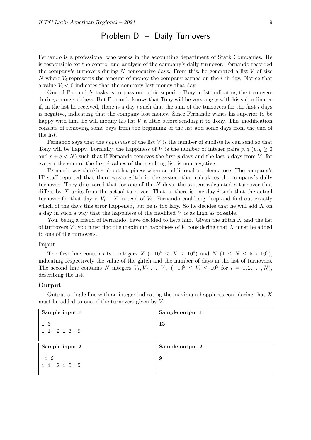## Problem D – Daily Turnovers

Fernando is a professional who works in the accounting department of Stark Companies. He is responsible for the control and analysis of the company's daily turnover. Fernando recorded the company's turnovers during  $N$  consecutive days. From this, he generated a list  $V$  of size N where  $V_i$  represents the amount of money the company earned on the *i*-th day. Notice that a value  $V_i < 0$  indicates that the company lost money that day.

One of Fernando's tasks is to pass on to his superior Tony a list indicating the turnovers during a range of days. But Fernando knows that Tony will be very angry with his subordinates if, in the list he received, there is a day i such that the sum of the turnovers for the first i days is negative, indicating that the company lost money. Since Fernando wants his superior to be happy with him, he will modify his list  $V$  a little before sending it to Tony. This modification consists of removing some days from the beginning of the list and some days from the end of the list.

Fernando says that the *happiness* of the list  $V$  is the number of sublists he can send so that Tony will be happy. Formally, the happiness of V is the number of integer pairs  $p, q \ (p, q \geq 0)$ and  $p + q \lt N$  such that if Fernando removes the first p days and the last q days from V, for every  $i$  the sum of the first  $i$  values of the resulting list is non-negative.

Fernando was thinking about happiness when an additional problem arose. The company's IT staff reported that there was a glitch in the system that calculates the company's daily turnover. They discovered that for one of the N days, the system calculated a turnover that differs by X units from the actual turnover. That is, there is one day i such that the actual turnover for that day is  $V_i + X$  instead of  $V_i$ . Fernando could dig deep and find out exactly which of the days this error happened, but he is too lazy. So he decides that he will add  $X$  on a day in such a way that the happiness of the modified V is as high as possible.

You, being a friend of Fernando, have decided to help him. Given the glitch  $X$  and the list of turnovers  $V$ , you must find the maximum happiness of  $V$  considering that  $X$  must be added to one of the turnovers.

#### Input

The first line contains two integers  $X(-10^9 \le X \le 10^9)$  and  $N(1 \le N \le 5 \times 10^5)$ , indicating respectively the value of the glitch and the number of days in the list of turnovers. The second line contains N integers  $V_1, V_2, \ldots, V_N$   $(-10^9 \leq V_i \leq 10^9$  for  $i = 1, 2, \ldots, N$ , describing the list.

#### Output

Output a single line with an integer indicating the maximum happiness considering that X must be added to one of the turnovers given by  $V$ .

| Sample input 1           | Sample output 1 |
|--------------------------|-----------------|
| 1 6<br>$1 1 - 2 1 3 - 5$ | 13              |
|                          |                 |
|                          |                 |
| Sample input 2           | Sample output 2 |
| $-1, 6$                  | 9               |
| $1 1 - 2 1 3 - 5$        |                 |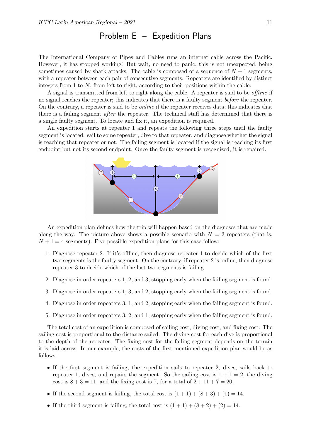## Problem E – Expedition Plans

The International Company of Pipes and Cables runs an internet cable across the Pacific. However, it has stopped working! But wait, no need to panic, this is not unexpected, being sometimes caused by shark attacks. The cable is composed of a sequence of  $N+1$  segments, with a repeater between each pair of consecutive segments. Repeaters are identified by distinct integers from 1 to N, from left to right, according to their positions within the cable.

A signal is transmitted from left to right along the cable. A repeater is said to be offline if no signal reaches the repeater; this indicates that there is a faulty segment before the repeater. On the contrary, a repeater is said to be online if the repeater receives data; this indicates that there is a failing segment after the repeater. The technical staff has determined that there is a single faulty segment. To locate and fix it, an expedition is required.

An expedition starts at repeater 1 and repeats the following three steps until the faulty segment is located: sail to some repeater, dive to that repeater, and diagnose whether the signal is reaching that repeater or not. The failing segment is located if the signal is reaching its first endpoint but not its second endpoint. Once the faulty segment is recognized, it is repaired.



An expedition plan defines how the trip will happen based on the diagnoses that are made along the way. The picture above shows a possible scenario with  $N = 3$  repeaters (that is,  $N+1=4$  segments). Five possible expedition plans for this case follow:

- 1. Diagnose repeater 2. If it's offline, then diagnose repeater 1 to decide which of the first two segments is the faulty segment. On the contrary, if repeater 2 is online, then diagnose repeater 3 to decide which of the last two segments is failing.
- 2. Diagnose in order repeaters 1, 2, and 3, stopping early when the failing segment is found.
- 3. Diagnose in order repeaters 1, 3, and 2, stopping early when the failing segment is found.
- 4. Diagnose in order repeaters 3, 1, and 2, stopping early when the failing segment is found.
- 5. Diagnose in order repeaters 3, 2, and 1, stopping early when the failing segment is found.

The total cost of an expedition is composed of sailing cost, diving cost, and fixing cost. The sailing cost is proportional to the distance sailed. The diving cost for each dive is proportional to the depth of the repeater. The fixing cost for the failing segment depends on the terrain it is laid across. In our example, the costs of the first-mentioned expedition plan would be as follows:

- If the first segment is failing, the expedition sails to repeater 2, dives, sails back to repeater 1, dives, and repairs the segment. So the sailing cost is  $1 + 1 = 2$ , the diving cost is  $8 + 3 = 11$ , and the fixing cost is 7, for a total of  $2 + 11 + 7 = 20$ .
- If the second segment is failing, the total cost is  $(1+1) + (8+3) + (1) = 14$ .
- If the third segment is failing, the total cost is  $(1+1) + (8+2) + (2) = 14$ .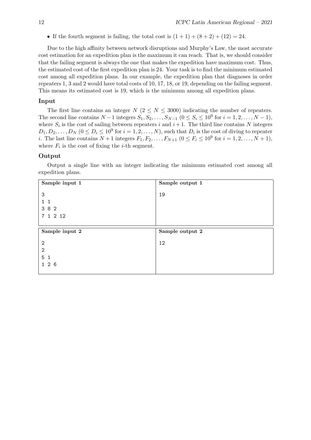• If the fourth segment is failing, the total cost is  $(1+1) + (8+2) + (12) = 24$ .

Due to the high affinity between network disruptions and Murphy's Law, the most accurate cost estimation for an expedition plan is the maximum it can reach. That is, we should consider that the failing segment is always the one that makes the expedition have maximum cost. Thus, the estimated cost of the first expedition plan is 24. Your task is to find the minimum estimated cost among all expedition plans. In our example, the expedition plan that diagnoses in order repeaters 1, 3 and 2 would have total costs of 10, 17, 18, or 19, depending on the failing segment. This means its estimated cost is 19, which is the minimum among all expedition plans.

#### Input

The first line contains an integer  $N$  ( $2 \le N \le 3000$ ) indicating the number of repeaters. The second line contains  $N-1$  integers  $S_1, S_2, \ldots, S_{N-1}$   $(0 \leq S_i \leq 10^9$  for  $i = 1, 2, \ldots, N-1)$ , where  $S_i$  is the cost of sailing between repeaters i and  $i+1$ . The third line contains N integers  $D_1, D_2, \ldots, D_N$   $(0 \leq D_i \leq 10^9$  for  $i = 1, 2, \ldots, N$ , such that  $D_i$  is the cost of diving to repeater *i*. The last line contains  $N + 1$  integers  $F_1, F_2, ..., F_{N+1}$   $(0 \le F_i \le 10^9$  for  $i = 1, 2, ..., N + 1$ , where  $F_i$  is the cost of fixing the *i*-th segment.

#### Output

Output a single line with an integer indicating the minimum estimated cost among all expedition plans.

| Sample input 1                   | Sample output 1 |
|----------------------------------|-----------------|
| 3                                | 19              |
| $1\quad1$                        |                 |
| 3 8 2                            |                 |
| 7 1 2 12                         |                 |
|                                  |                 |
|                                  |                 |
| Sample input 2                   | Sample output 2 |
|                                  |                 |
| $\overline{2}$                   | 12              |
| $\overline{2}$<br>5 <sub>1</sub> |                 |
| 126                              |                 |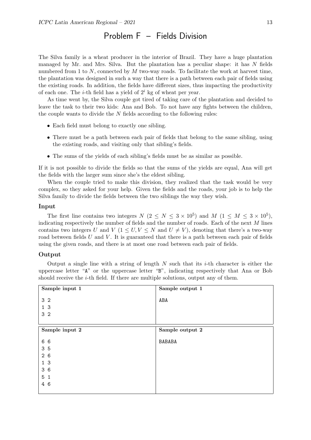## Problem F – Fields Division

The Silva family is a wheat producer in the interior of Brazil. They have a huge plantation managed by Mr. and Mrs. Silva. But the plantation has a peculiar shape: it has  $N$  fields numbered from 1 to  $N$ , connected by  $M$  two-way roads. To facilitate the work at harvest time, the plantation was designed in such a way that there is a path between each pair of fields using the existing roads. In addition, the fields have different sizes, thus impacting the productivity of each one. The *i*-th field has a yield of  $2<sup>i</sup>$  kg of wheat per year.

As time went by, the Silva couple got tired of taking care of the plantation and decided to leave the task to their two kids: Ana and Bob. To not have any fights between the children, the couple wants to divide the  $N$  fields according to the following rules:

- Each field must belong to exactly one sibling.
- There must be a path between each pair of fields that belong to the same sibling, using the existing roads, and visiting only that sibling's fields.
- The sums of the yields of each sibling's fields must be as similar as possible.

If it is not possible to divide the fields so that the sums of the yields are equal, Ana will get the fields with the larger sum since she's the eldest sibling.

When the couple tried to make this division, they realized that the task would be very complex, so they asked for your help. Given the fields and the roads, your job is to help the Silva family to divide the fields between the two siblings the way they wish.

#### Input

The first line contains two integers  $N$   $(2 \leq N \leq 3 \times 10^5)$  and  $M$   $(1 \leq M \leq 3 \times 10^5)$ , indicating respectively the number of fields and the number of roads. Each of the next  $M$  lines contains two integers U and V ( $1 \leq U, V \leq N$  and  $U \neq V$ ), denoting that there's a two-way road between fields  $U$  and  $V$ . It is guaranteed that there is a path between each pair of fields using the given roads, and there is at most one road between each pair of fields.

#### Output

Output a single line with a string of length  $N$  such that its *i*-th character is either the uppercase letter "A" or the uppercase letter "B", indicating respectively that Ana or Bob should receive the  $i$ -th field. If there are multiple solutions, output any of them.

| Sample input 1 | Sample output 1 |
|----------------|-----------------|
| 3 <sub>2</sub> | ABA             |
|                |                 |
| 1 <sub>3</sub> |                 |
| 3 <sub>2</sub> |                 |
|                |                 |
| Sample input 2 | Sample output 2 |
| 6 6            | <b>BABABA</b>   |
| 35             |                 |
| 26             |                 |
| 1 <sub>3</sub> |                 |
| 36             |                 |
| 5 <sub>1</sub> |                 |
| 4 6            |                 |
|                |                 |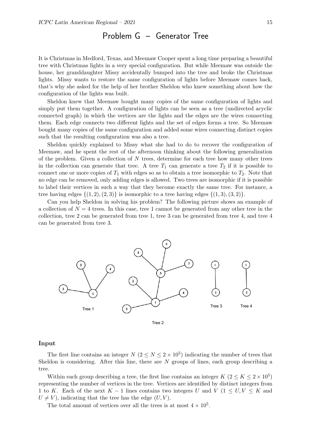### Problem G – Generator Tree

It is Christmas in Medford, Texas, and Meemaw Cooper spent a long time preparing a beautiful tree with Christmas lights in a very special configuration. But while Meemaw was outside the house, her granddaughter Missy accidentally bumped into the tree and broke the Christmas lights. Missy wants to restore the same configuration of lights before Meemaw comes back, that's why she asked for the help of her brother Sheldon who knew something about how the configuration of the lights was built.

Sheldon knew that Meemaw bought many copies of the same configuration of lights and simply put them together. A configuration of lights can be seen as a tree (undirected acyclic connected graph) in which the vertices are the lights and the edges are the wires connecting them. Each edge connects two different lights and the set of edges forms a tree. So Meemaw bought many copies of the same configuration and added some wires connecting distinct copies such that the resulting configuration was also a tree.

Sheldon quickly explained to Missy what she had to do to recover the configuration of Meemaw, and he spent the rest of the afternoon thinking about the following generalization of the problem. Given a collection of  $N$  trees, determine for each tree how many other trees in the collection can generate that tree. A tree  $T_1$  can generate a tree  $T_2$  if it is possible to connect one or more copies of  $T_1$  with edges so as to obtain a tree isomorphic to  $T_2$ . Note that no edge can be removed, only adding edges is allowed. Two trees are isomorphic if it is possible to label their vertices in such a way that they become exactly the same tree. For instance, a tree having edges  $\{(1, 2), (2, 3)\}\$ is isomorphic to a tree having edges  $\{(1, 3), (3, 2)\}\$ .

Can you help Sheldon in solving his problem? The following picture shows an example of a collection of  $N = 4$  trees. In this case, tree 1 cannot be generated from any other tree in the collection, tree 2 can be generated from tree 1, tree 3 can be generated from tree 4, and tree 4 can be generated from tree 3.



#### Input

The first line contains an integer  $N(2 \le N \le 2 \times 10^5)$  indicating the number of trees that Sheldon is considering. After this line, there are  $N$  groups of lines, each group describing a tree.

Within each group describing a tree, the first line contains an integer  $K$   $(2 \leq K \leq 2 \times 10^5)$ representing the number of vertices in the tree. Vertices are identified by distinct integers from 1 to K. Each of the next K – 1 lines contains two integers U and V (1  $\leq U, V \leq K$  and  $U \neq V$ ), indicating that the tree has the edge  $(U, V)$ .

The total amount of vertices over all the trees is at most  $4 \times 10^5$ .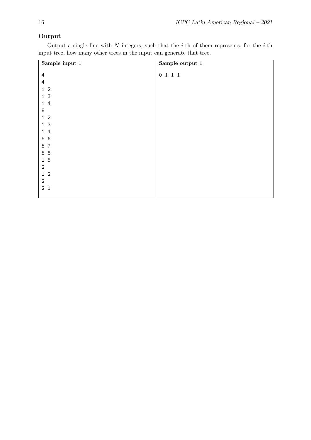### Output

Output a single line with  $N$  integers, such that the *i*-th of them represents, for the *i*-th input tree, how many other trees in the input can generate that tree.

| Sample input $1\,$             | Sample output 1 |
|--------------------------------|-----------------|
|                                |                 |
| $\ensuremath{4}$               | 0 1 1 1         |
| 4                              |                 |
| $\overline{2}$<br>$\mathbf{1}$ |                 |
| 3<br>$\mathbf{1}$              |                 |
| $\overline{4}$<br>$\mathbf{1}$ |                 |
| 8                              |                 |
| $\mathbf{1}$<br>$\overline{2}$ |                 |
| 1 <sup>3</sup>                 |                 |
| $\mathbf{1}$<br>4              |                 |
| 5 6                            |                 |
| 5<br>$\overline{7}$            |                 |
| 5 8                            |                 |
| 15                             |                 |
| $\sqrt{2}$                     |                 |
| $\overline{2}$<br>$\mathbf{1}$ |                 |
| $\sqrt{2}$                     |                 |
| 2 <sub>1</sub>                 |                 |
|                                |                 |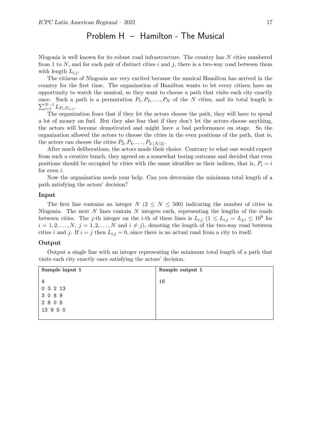### Problem H – Hamilton - The Musical

Nlogonia is well known for its robust road infrastructure. The country has N cities numbered from 1 to N, and for each pair of distinct cities i and j, there is a two-way road between them with length  $L_{i,j}$ .

The citizens of Nlogonia are very excited because the musical Hamilton has arrived in the country for the first time. The organization of Hamilton wants to let every citizen have an opportunity to watch the musical, so they want to choose a path that visits each city exactly  $\sum_{i=1}^{N-1} L_{P_i,P_{i+1}}.$ once. Such a path is a permutation  $P_1, P_2, \ldots, P_N$  of the N cities, and its total length is

The organization fears that if they let the actors choose the path, they will have to spend a lot of money on fuel. But they also fear that if they don't let the actors choose anything, the actors will become demotivated and might have a bad performance on stage. So the organization allowed the actors to choose the cities in the even positions of the path, that is, the actors can choose the cities  $P_2, P_4, \ldots, P_{2\cdot |N/2|}$ .

After much deliberations, the actors made their choice. Contrary to what one would expect from such a creative bunch, they agreed on a somewhat boring outcome and decided that even positions should be occupied by cities with the same identifier as their indices, that is,  $P_i = i$ for even i.

Now the organization needs your help. Can you determine the minimum total length of a path satisfying the actors' decision?

#### Input

The first line contains an integer  $N$  ( $2 \leq N \leq 500$ ) indicating the number of cities in Nlogonia. The next  $N$  lines contain  $N$  integers each, representing the lengths of the roads between cities. The j-th integer on the *i*-th of these lines is  $L_{i,j}$   $(1 \le L_{i,j} = L_{j,i} \le 10^9$  for  $i = 1, 2, \ldots, N, j = 1, 2, \ldots, N$  and  $i \neq j$ , denoting the length of the two-way road between cities i and j. If  $i = j$  then  $L_{i,j} = 0$ , since there is no actual road from a city to itself.

#### Output

Output a single line with an integer representing the minimum total length of a path that visits each city exactly once satisfying the actors' decision.

| Sample input 1 | Sample output 1 |
|----------------|-----------------|
| 4              | 16              |
| 0 3 2 13       |                 |
| 3089           |                 |
| 2 8 0 5        |                 |
| 13 9 5 0       |                 |
|                |                 |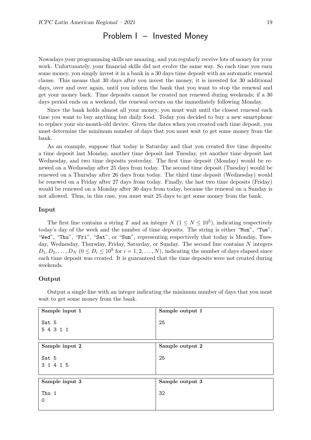### Problem I – Invested Money

Nowadays your programming skills are amazing, and you regularly receive lots of money for your work. Unfortunately, your financial skills did not evolve the same way. So each time you earn some money, you simply invest it in a bank in a 30 days time deposit with an automatic renewal clause. This means that 30 days after you invest the money, it is invested for 30 additional days, over and over again, until you inform the bank that you want to stop the renewal and get your money back. Time deposits cannot be created nor renewed during weekends; if a 30 days period ends on a weekend, the renewal occurs on the immediately following Monday.

Since the bank holds almost all your money, you must wait until the closest renewal each time you want to buy anything but daily food. Today you decided to buy a new smartphone to replace your six-month-old device. Given the dates when you created each time deposit, you must determine the minimum number of days that you must wait to get some money from the bank.

As an example, suppose that today is Saturday and that you created five time deposits: a time deposit last Monday, another time deposit last Tuesday, yet another time deposit last Wednesday, and two time deposits yesterday. The first time deposit (Monday) would be renewed on a Wednesday after 25 days from today. The second time deposit (Tuesday) would be renewed on a Thursday after 26 days from today. The third time deposit (Wednesday) would be renewed on a Friday after 27 days from today. Finally, the last two time deposits (Friday) would be renewed on a Monday after 30 days from today, because the renewal on a Sunday is not allowed. Thus, in this case, you must wait 25 days to get some money from the bank.

#### Input

The first line contains a string T and an integer  $N$   $(1 \le N \le 10^5)$ , indicating respectively today's day of the week and the number of time deposits. The string is either "Mon", "Tue", "Wed", "Thu", "Fri", "Sat", or "Sun", representing respectively that today is Monday, Tuesday, Wednesday, Thursday, Friday, Saturday, or Sunday. The second line contains N integers  $D_1, D_2, \ldots, D_N$   $(0 \leq D_i \leq 10^9$  for  $i = 1, 2, \ldots, N$ , indicating the number of days elapsed since each time deposit was created. It is guaranteed that the time deposits were not created during weekends.

#### Output

Output a single line with an integer indicating the minimum number of days that you must wait to get some money from the bank.

| Sample input 1 | Sample output 1 |
|----------------|-----------------|
| Sat 5          | 25              |
| 5 4 3 1 1      |                 |
|                |                 |
| Sample input 2 | Sample output 2 |
| Sat 5          | 25              |
| 3 1 4 1 5      |                 |
|                |                 |
| Sample input 3 | Sample output 3 |
| Thu 1          | 32              |
| 0              |                 |
|                |                 |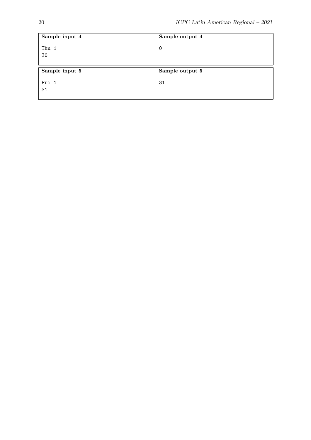| Sample input 4 | Sample output 4 |
|----------------|-----------------|
| Thu 1<br>30    | 0               |
|                |                 |
|                |                 |
| Sample input 5 | Sample output 5 |
| Fri 1          | 31              |
| 31             |                 |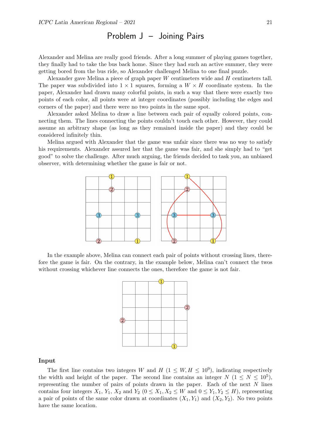### Problem J – Joining Pairs

Alexander and Melina are really good friends. After a long summer of playing games together, they finally had to take the bus back home. Since they had such an active summer, they were getting bored from the bus ride, so Alexander challenged Melina to one final puzzle.

Alexander gave Melina a piece of graph paper W centimeters wide and H centimeters tall. The paper was subdivided into  $1 \times 1$  squares, forming a  $W \times H$  coordinate system. In the paper, Alexander had drawn many colorful points, in such a way that there were exactly two points of each color, all points were at integer coordinates (possibly including the edges and corners of the paper) and there were no two points in the same spot.

Alexander asked Melina to draw a line between each pair of equally colored points, connecting them. The lines connecting the points couldn't touch each other. However, they could assume an arbitrary shape (as long as they remained inside the paper) and they could be considered infinitely thin.

Melina argued with Alexander that the game was unfair since there was no way to satisfy his requirements. Alexander assured her that the game was fair, and she simply had to "get good" to solve the challenge. After much arguing, the friends decided to task you, an unbiased observer, with determining whether the game is fair or not.



In the example above, Melina can connect each pair of points without crossing lines, therefore the game is fair. On the contrary, in the example below, Melina can't connect the twos without crossing whichever line connects the ones, therefore the game is not fair.



#### Input

The first line contains two integers W and  $H$  ( $1 \leq W, H \leq 10^9$ ), indicating respectively the width and height of the paper. The second line contains an integer  $N$   $(1 \leq N \leq 10^5)$ , representing the number of pairs of points drawn in the paper. Each of the next  $N$  lines contains four integers  $X_1$ ,  $Y_1$ ,  $X_2$  and  $Y_2$  ( $0 \le X_1, X_2 \le W$  and  $0 \le Y_1, Y_2 \le H$ ), representing a pair of points of the same color drawn at coordinates  $(X_1, Y_1)$  and  $(X_2, Y_2)$ . No two points have the same location.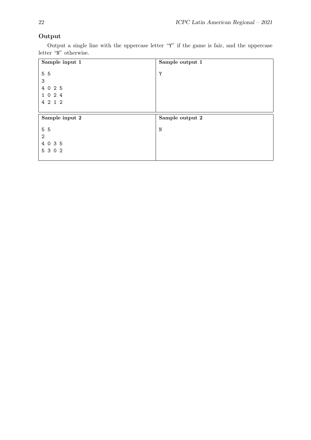### Output

Output a single line with the uppercase letter "Y" if the game is fair, and the uppercase letter "N" otherwise.

| Sample input 1 | Sample output 1 |
|----------------|-----------------|
| 5 5            | Y               |
|                |                 |
| 3              |                 |
| 4 0 2 5        |                 |
| 1 0 2 4        |                 |
| 4 2 1 2        |                 |
|                |                 |
|                |                 |
| Sample input 2 | Sample output 2 |
| 5 5            | N               |
| $\mathbf{2}$   |                 |
| 4 0 3 5        |                 |
| 5 3 0 2        |                 |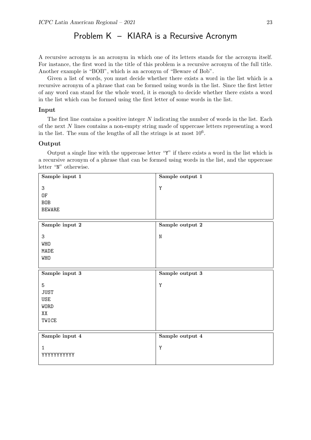# Problem K – KIARA is a Recursive Acronym

A recursive acronym is an acronym in which one of its letters stands for the acronym itself. For instance, the first word in the title of this problem is a recursive acronym of the full title. Another example is "BOB", which is an acronym of "Beware of Bob".

Given a list of words, you must decide whether there exists a word in the list which is a recursive acronym of a phrase that can be formed using words in the list. Since the first letter of any word can stand for the whole word, it is enough to decide whether there exists a word in the list which can be formed using the first letter of some words in the list.

#### Input

The first line contains a positive integer N indicating the number of words in the list. Each of the next N lines contains a non-empty string made of uppercase letters representing a word in the list. The sum of the lengths of all the strings is at most  $10<sup>6</sup>$ .

#### Output

Output a single line with the uppercase letter "Y" if there exists a word in the list which is a recursive acronym of a phrase that can be formed using words in the list, and the uppercase letter "N" otherwise.

| Sample input 1   | Sample output 1 |
|------------------|-----------------|
| 3                | Y               |
| 0F               |                 |
| <b>BOB</b>       |                 |
| <b>BEWARE</b>    |                 |
|                  |                 |
| Sample input $2$ | Sample output 2 |
| 3                | ${\rm N}$       |
| WHO              |                 |
| MADE             |                 |
| WHO              |                 |
|                  |                 |
|                  |                 |
| Sample input 3   | Sample output 3 |
| $\mathbf 5$      | Y               |
| <b>JUST</b>      |                 |
| USE              |                 |
| WORD             |                 |
| XX               |                 |
| TWICE            |                 |
|                  |                 |
| Sample input 4   | Sample output 4 |
| $\mathbf{1}$     |                 |
| YYYYYYYYYY       | $\mathbf Y$     |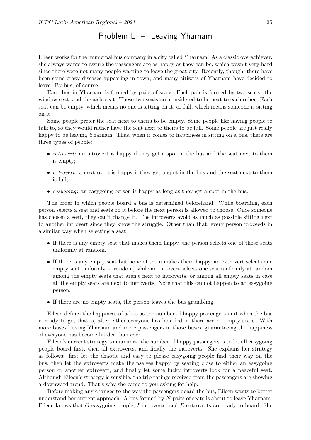## Problem L – Leaving Yharnam

Eileen works for the municipal bus company in a city called Yharnam. As a classic overachiever, she always wants to assure the passengers are as happy as they can be, which wasn't very hard since there were not many people wanting to leave the great city. Recently, though, there have been some crazy diseases appearing in town, and many citizens of Yharnam have decided to leave. By bus, of course.

Each bus in Yharnam is formed by pairs of seats. Each pair is formed by two seats: the window seat, and the aisle seat. These two seats are considered to be next to each other. Each seat can be empty, which means no one is sitting on it, or full, which means someone is sitting on it.

Some people prefer the seat next to theirs to be empty. Some people like having people to talk to, so they would rather have the seat next to theirs to be full. Some people are just really happy to be leaving Yharnam. Thus, when it comes to happiness in sitting on a bus, there are three types of people:

- *introvert*: an introvert is happy if they get a spot in the bus and the seat next to them is empty;
- extrovert: an extrovert is happy if they get a spot in the bus and the seat next to them is full;
- *easygoing*: an easygoing person is happy as long as they get a spot in the bus.

The order in which people board a bus is determined beforehand. While boarding, each person selects a seat and seats on it before the next person is allowed to choose. Once someone has chosen a seat, they can't change it. The introverts avoid as much as possible sitting next to another introvert since they know the struggle. Other than that, every person proceeds in a similar way when selecting a seat:

- If there is any empty seat that makes them happy, the person selects one of those seats uniformly at random.
- If there is any empty seat but none of them makes them happy, an extrovert selects one empty seat uniformly at random, while an introvert selects one seat uniformly at random among the empty seats that aren't next to introverts, or among all empty seats in case all the empty seats are next to introverts. Note that this cannot happen to an easygoing person.
- If there are no empty seats, the person leaves the bus grumbling.

Eileen defines the happiness of a bus as the number of happy passengers in it when the bus is ready to go, that is, after either everyone has boarded or there are no empty seats. With more buses leaving Yharnam and more passengers in those buses, guaranteeing the happiness of everyone has become harder than ever.

Eileen's current strategy to maximize the number of happy passengers is to let all easygoing people board first, then all extroverts, and finally the introverts. She explains her strategy as follows: first let the chaotic and easy to please easygoing people find their way on the bus, then let the extroverts make themselves happy by seating close to either an easygoing person or another extrovert, and finally let some lucky introverts look for a peaceful seat. Although Eileen's strategy is sensible, the trip ratings received from the passengers are showing a downward trend. That's why she came to you asking for help.

Before making any changes to the way the passengers board the bus, Eileen wants to better understand her current approach. A bus formed by N pairs of seats is about to leave Yharnam. Eileen knows that  $G$  easygoing people, I introverts, and  $E$  extroverts are ready to board. She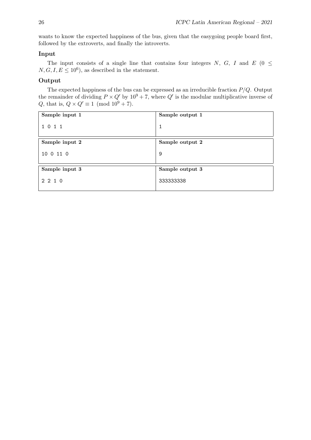wants to know the expected happiness of the bus, given that the easygoing people board first, followed by the extroverts, and finally the introverts.

### Input

The input consists of a single line that contains four integers N, G, I and E ( $0 \le$  $N, G, I, E \leq 10^6$ , as described in the statement.

### Output

The expected happiness of the bus can be expressed as an irreducible fraction  $P/Q$ . Output the remainder of dividing  $P \times Q'$  by  $10^9 + 7$ , where  $Q'$  is the modular multiplicative inverse of Q, that is,  $Q \times Q' \equiv 1 \pmod{10^9 + 7}$ .

| Sample input 1 | Sample output 1 |
|----------------|-----------------|
| 1 0 1 1        | 1               |
| Sample input 2 | Sample output 2 |
| 10 0 11 0      | 9               |
| Sample input 3 | Sample output 3 |
| 2 2 1 0        | 333333338       |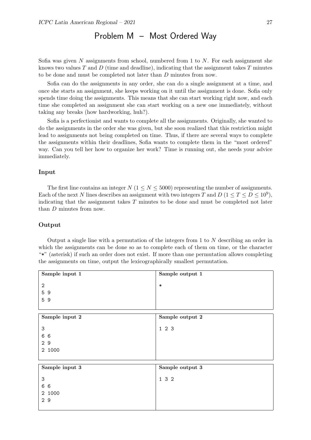# Problem M – Most Ordered Way

Sofia was given N assignments from school, numbered from 1 to  $N$ . For each assignment she knows two values  $T$  and  $D$  (time and deadline), indicating that the assignment takes  $T$  minutes to be done and must be completed not later than D minutes from now.

Sofia can do the assignments in any order, she can do a single assignment at a time, and once she starts an assignment, she keeps working on it until the assignment is done. Sofia only spends time doing the assignments. This means that she can start working right now, and each time she completed an assignment she can start working on a new one immediately, without taking any breaks (how hardworking, huh?).

Sofia is a perfectionist and wants to complete all the assignments. Originally, she wanted to do the assignments in the order she was given, but she soon realized that this restriction might lead to assignments not being completed on time. Thus, if there are several ways to complete the assignments within their deadlines, Sofia wants to complete them in the "most ordered" way. Can you tell her how to organize her work? Time is running out, she needs your advice immediately.

#### Input

The first line contains an integer  $N$  ( $1 \le N \le 5000$ ) representing the number of assignments. Each of the next N lines describes an assignment with two integers T and  $D$  ( $1 \le T \le D \le 10^9$ ), indicating that the assignment takes  $T$  minutes to be done and must be completed not later than D minutes from now.

#### <span id="page-28-0"></span>Output

Output a single line with a permutation of the integers from 1 to N describing an order in which the assignments can be done so as to complete each of them on time, or the character "\*" (asterisk) if such an order does not exist. If more than one permutation allows completing the assignments on time, output the lexicographically smallest permutation.

| Sample input 1            | Sample output 1 |
|---------------------------|-----------------|
| $\mathbf{2}$              | $\ast$          |
| 59                        |                 |
| 59                        |                 |
|                           |                 |
| Sample input 2            | Sample output 2 |
| $\ensuremath{\mathsf{3}}$ | 123             |
| 6 6                       |                 |
| 29                        |                 |
| 2 1000                    |                 |
|                           |                 |
| Sample input 3            | Sample output 3 |
| 3                         | 1 3 2           |
| 6 6                       |                 |
| 2 1000                    |                 |
| 29                        |                 |
|                           |                 |